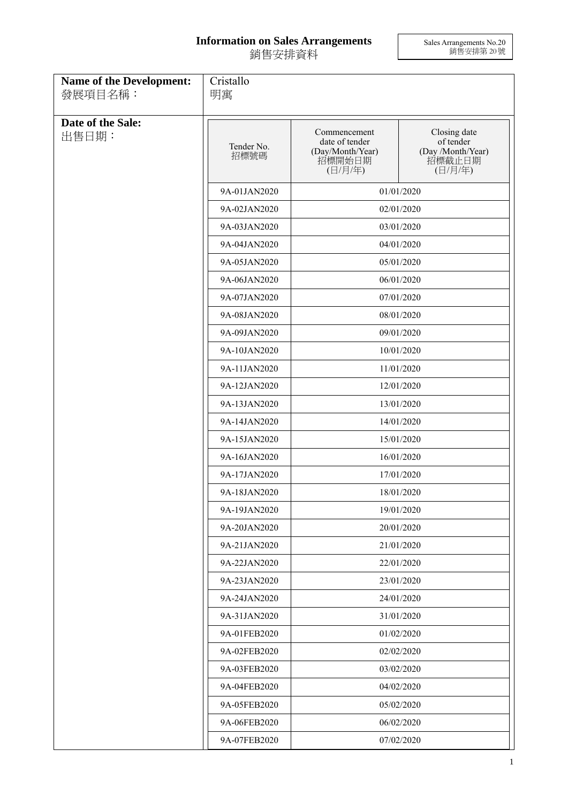## **Information on Sales Arrangements** 銷售安排資料

Sales Arrangements No.20 銷售安排第 20 號

| Name of the Development:<br>發展項目名稱: | Cristallo<br>明寓    |                                                                         |                                                                     |
|-------------------------------------|--------------------|-------------------------------------------------------------------------|---------------------------------------------------------------------|
| Date of the Sale:<br>出售日期:          | Tender No.<br>招標號碼 | Commencement<br>date of tender<br>(Day/Month/Year)<br>招標開始日期<br>(日/月/年) | Closing date<br>of tender<br>(Day /Month/Year)<br>招標截止日期<br>(日/月/年) |
|                                     | 9A-01JAN2020       |                                                                         | 01/01/2020                                                          |
|                                     | 9A-02JAN2020       |                                                                         | 02/01/2020                                                          |
|                                     | 9A-03JAN2020       |                                                                         | 03/01/2020                                                          |
|                                     | 9A-04JAN2020       |                                                                         | 04/01/2020                                                          |
|                                     | 9A-05JAN2020       |                                                                         | 05/01/2020                                                          |
|                                     | 9A-06JAN2020       |                                                                         | 06/01/2020                                                          |
|                                     | 9A-07JAN2020       |                                                                         | 07/01/2020                                                          |
|                                     | 9A-08JAN2020       |                                                                         | 08/01/2020                                                          |
|                                     | 9A-09JAN2020       |                                                                         | 09/01/2020                                                          |
|                                     | 9A-10JAN2020       |                                                                         | 10/01/2020                                                          |
|                                     | 9A-11JAN2020       |                                                                         | 11/01/2020                                                          |
|                                     | 9A-12JAN2020       |                                                                         | 12/01/2020                                                          |
|                                     | 9A-13JAN2020       |                                                                         | 13/01/2020                                                          |
|                                     | 9A-14JAN2020       |                                                                         | 14/01/2020                                                          |
|                                     | 9A-15JAN2020       |                                                                         | 15/01/2020                                                          |
|                                     | 9A-16JAN2020       |                                                                         | 16/01/2020                                                          |
|                                     | 9A-17JAN2020       | 17/01/2020                                                              |                                                                     |
|                                     | 9A-18JAN2020       |                                                                         | 18/01/2020                                                          |
|                                     | 9A-19JAN2020       |                                                                         | 19/01/2020                                                          |
|                                     | 9A-20JAN2020       |                                                                         | 20/01/2020                                                          |
|                                     | 9A-21JAN2020       |                                                                         | 21/01/2020                                                          |
|                                     | 9A-22JAN2020       |                                                                         | 22/01/2020                                                          |
|                                     | 9A-23JAN2020       |                                                                         | 23/01/2020                                                          |
|                                     | 9A-24JAN2020       |                                                                         | 24/01/2020                                                          |
|                                     | 9A-31JAN2020       |                                                                         | 31/01/2020                                                          |
|                                     | 9A-01FEB2020       |                                                                         | 01/02/2020                                                          |
|                                     | 9A-02FEB2020       |                                                                         | 02/02/2020                                                          |
|                                     | 9A-03FEB2020       |                                                                         | 03/02/2020                                                          |
|                                     | 9A-04FEB2020       |                                                                         | 04/02/2020                                                          |
|                                     | 9A-05FEB2020       |                                                                         | 05/02/2020                                                          |
|                                     | 9A-06FEB2020       |                                                                         | 06/02/2020                                                          |
|                                     | 9A-07FEB2020       |                                                                         | 07/02/2020                                                          |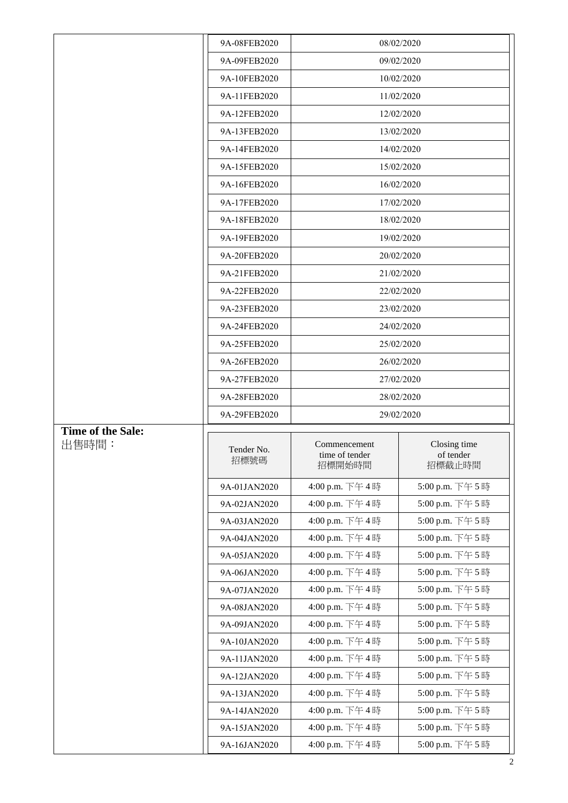|                   | 9A-08FEB2020 |                                | 08/02/2020                |
|-------------------|--------------|--------------------------------|---------------------------|
|                   | 9A-09FEB2020 |                                | 09/02/2020                |
|                   | 9A-10FEB2020 |                                | 10/02/2020                |
|                   | 9A-11FEB2020 |                                | 11/02/2020                |
|                   | 9A-12FEB2020 |                                | 12/02/2020                |
|                   | 9A-13FEB2020 |                                | 13/02/2020                |
|                   | 9A-14FEB2020 |                                | 14/02/2020                |
|                   | 9A-15FEB2020 |                                | 15/02/2020                |
|                   | 9A-16FEB2020 |                                | 16/02/2020                |
|                   | 9A-17FEB2020 |                                | 17/02/2020                |
|                   | 9A-18FEB2020 |                                | 18/02/2020                |
|                   | 9A-19FEB2020 |                                | 19/02/2020                |
|                   | 9A-20FEB2020 |                                | 20/02/2020                |
|                   | 9A-21FEB2020 |                                | 21/02/2020                |
|                   | 9A-22FEB2020 |                                | 22/02/2020                |
|                   | 9A-23FEB2020 |                                | 23/02/2020                |
|                   | 9A-24FEB2020 |                                | 24/02/2020                |
|                   | 9A-25FEB2020 |                                | 25/02/2020                |
|                   | 9A-26FEB2020 |                                | 26/02/2020                |
|                   | 9A-27FEB2020 |                                | 27/02/2020                |
|                   | 9A-28FEB2020 |                                | 28/02/2020                |
|                   |              |                                |                           |
|                   | 9A-29FEB2020 |                                | 29/02/2020                |
| Time of the Sale: |              |                                |                           |
| 出售時間:             | Tender No.   | Commencement<br>time of tender | Closing time<br>of tender |
|                   | 招標號碼         | 招標開始時間                         | 招標截止時間                    |
|                   | 9A-01JAN2020 | 4:00 p.m. 下午4時                 | 5:00 p.m. 下午5時            |
|                   | 9A-02JAN2020 | 4:00 p.m. 下午4時                 | 5:00 p.m. 下午5時            |
|                   | 9A-03JAN2020 | 4:00 p.m. 下午4時                 | 5:00 p.m. 下午5時            |
|                   | 9A-04JAN2020 | 4:00 p.m. 下午4時                 | 5:00 p.m. 下午5時            |
|                   | 9A-05JAN2020 | 4:00 p.m. 下午4時                 | 5:00 p.m. 下午5時            |
|                   | 9A-06JAN2020 | 4:00 p.m. 下午4時                 | 5:00 p.m. 下午5時            |
|                   | 9A-07JAN2020 | 4:00 p.m. 下午4時                 | 5:00 p.m. 下午5時            |
|                   | 9A-08JAN2020 | 4:00 p.m. 下午4時                 | 5:00 p.m. 下午5時            |
|                   | 9A-09JAN2020 | 4:00 p.m. 下午4時                 | 5:00 p.m. 下午5時            |
|                   | 9A-10JAN2020 | 4:00 p.m. 下午4時                 | 5:00 p.m. 下午5時            |
|                   | 9A-11JAN2020 | 4:00 p.m. 下午4時                 | 5:00 p.m. 下午5時            |
|                   | 9A-12JAN2020 | 4:00 p.m. 下午4時                 | 5:00 p.m. 下午5時            |
|                   | 9A-13JAN2020 | 4:00 p.m. 下午4時                 | 5:00 p.m. 下午5時            |
|                   | 9A-14JAN2020 | 4:00 p.m. 下午4時                 | 5:00 p.m. 下午5時            |
|                   | 9A-15JAN2020 | 4:00 p.m. 下午4時                 | 5:00 p.m. 下午5時            |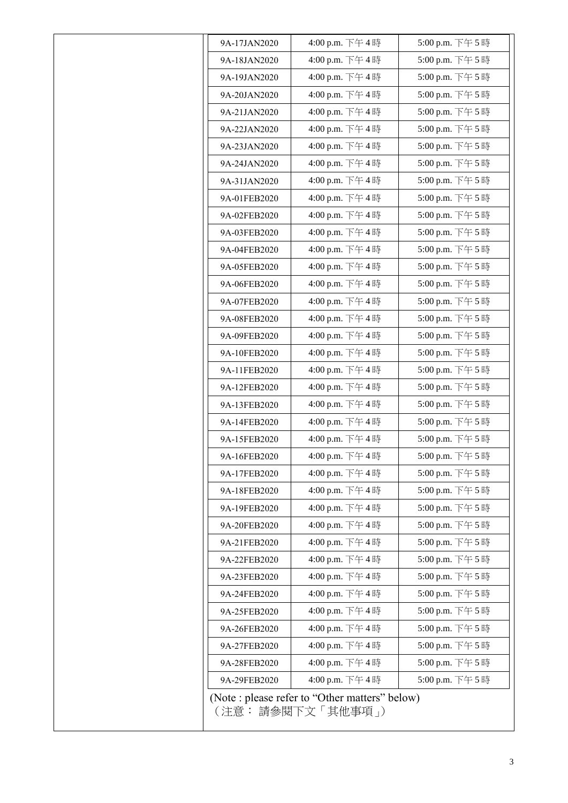| 9A-17JAN2020 | 4:00 p.m. 下午4時                                                       | 5:00 p.m. 下午5時  |
|--------------|----------------------------------------------------------------------|-----------------|
| 9A-18JAN2020 | 4:00 p.m. 下午4時                                                       | 5:00 p.m. 下午5時  |
| 9A-19JAN2020 | 4:00 p.m. 下午4時                                                       | 5:00 p.m. 下午5時  |
| 9A-20JAN2020 | 4:00 p.m. 下午4時                                                       | 5:00 p.m. 下午5時  |
| 9A-21JAN2020 | 4:00 p.m. 下午4時                                                       | 5:00 p.m. 下午5時  |
| 9A-22JAN2020 | 4:00 p.m. 下午4時                                                       | 5:00 p.m. 下午 5時 |
| 9A-23JAN2020 | 4:00 p.m. 下午4時                                                       | 5:00 p.m. 下午5時  |
| 9A-24JAN2020 | 4:00 p.m. 下午4時                                                       | 5:00 p.m. 下午 5時 |
| 9A-31JAN2020 | 4:00 p.m. 下午4時                                                       | 5:00 p.m. 下午5時  |
| 9A-01FEB2020 | 4:00 p.m. 下午4時                                                       | 5:00 p.m. 下午5時  |
| 9A-02FEB2020 | 4:00 p.m. 下午4時                                                       | 5:00 p.m. 下午5時  |
| 9A-03FEB2020 | 4:00 p.m. 下午4時                                                       | 5:00 p.m. 下午 5時 |
| 9A-04FEB2020 | 4:00 p.m. 下午4時                                                       | 5:00 p.m. 下午5時  |
| 9A-05FEB2020 | 4:00 p.m. 下午4時                                                       | 5:00 p.m. 下午5時  |
| 9A-06FEB2020 | 4:00 p.m. 下午4時                                                       | 5:00 p.m. 下午5時  |
| 9A-07FEB2020 | 4:00 p.m. 下午4時                                                       | 5:00 p.m. 下午5時  |
| 9A-08FEB2020 | 4:00 p.m. 下午4時                                                       | 5:00 p.m. 下午5時  |
| 9A-09FEB2020 | 4:00 p.m. 下午4時                                                       | 5:00 p.m. 下午5時  |
| 9A-10FEB2020 | 4:00 p.m. 下午4時                                                       | 5:00 p.m. 下午5時  |
| 9A-11FEB2020 | 4:00 p.m. 下午4時                                                       | 5:00 p.m. 下午5時  |
| 9A-12FEB2020 | 4:00 p.m. 下午4時                                                       | 5:00 p.m. 下午5時  |
| 9A-13FEB2020 | 4:00 p.m. 下午4時                                                       | 5:00 p.m. 下午5時  |
| 9A-14FEB2020 | 4:00 p.m. 下午4時                                                       | 5:00 p.m. 下午5時  |
| 9A-15FEB2020 | 4:00 p.m. 下午4時                                                       | 5:00 p.m. 下午5時  |
| 9A-16FEB2020 | 4:00 p.m. 下午4時                                                       | 5:00 p.m. 下午5時  |
| 9A-17FEB2020 | 4:00 p.m. 下午4時                                                       | 5:00 p.m. 下午5時  |
| 9A-18FEB2020 | 4:00 p.m. 下午4時                                                       | 5:00 p.m. 下午5時  |
| 9A-19FEB2020 | 4:00 p.m. 下午4時                                                       | 5:00 p.m. 下午5時  |
| 9A-20FEB2020 | 4:00 p.m. 下午4時                                                       | 5:00 p.m. 下午5時  |
| 9A-21FEB2020 | 4:00 p.m. 下午4時                                                       | 5:00 p.m. 下午5時  |
| 9A-22FEB2020 | 4:00 p.m. 下午4時                                                       | 5:00 p.m. 下午5時  |
| 9A-23FEB2020 | 4:00 p.m. 下午4時                                                       | 5:00 p.m. 下午5時  |
| 9A-24FEB2020 | 4:00 p.m. 下午4時                                                       | 5:00 p.m. 下午5時  |
| 9A-25FEB2020 | 4:00 p.m. 下午4時                                                       | 5:00 p.m. 下午5時  |
| 9A-26FEB2020 | 4:00 p.m. 下午4時                                                       | 5:00 p.m. 下午5時  |
| 9A-27FEB2020 | 4:00 p.m. 下午4時                                                       | 5:00 p.m. 下午5時  |
| 9A-28FEB2020 | 4:00 p.m. 下午4時                                                       | 5:00 p.m. 下午5時  |
| 9A-29FEB2020 | 4:00 p.m. 下午4時                                                       | 5:00 p.m. 下午5時  |
|              | (Note : please refer to "Other matters" below)<br>(注意: 請參閱下文「其他事項 」) |                 |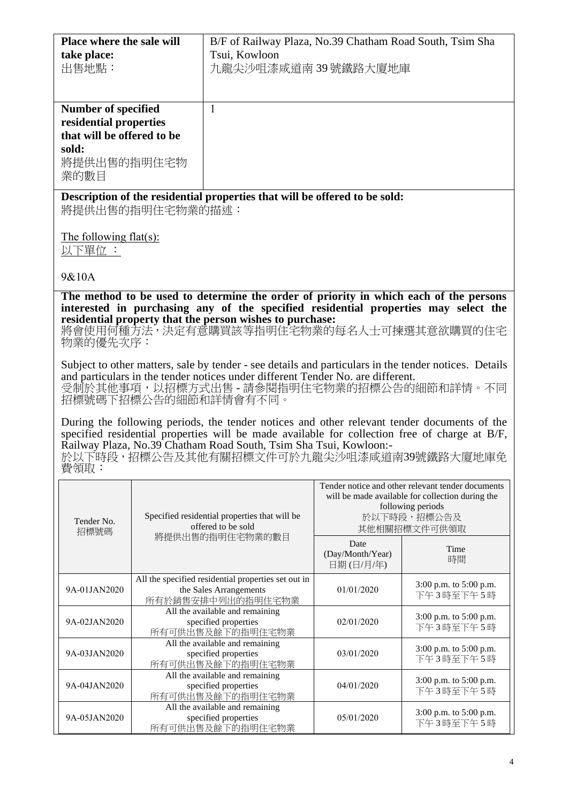| Place where the sale will  |                  | B/F of Railway Plaza, No.39 Chatham Road South, Tsim Sha                                              |                  |                                                   |
|----------------------------|------------------|-------------------------------------------------------------------------------------------------------|------------------|---------------------------------------------------|
| take place:                |                  | Tsui, Kowloon                                                                                         |                  |                                                   |
| 出售地點:                      |                  | 九龍尖沙咀漆咸道南39號鐵路大廈地庫                                                                                    |                  |                                                   |
|                            |                  |                                                                                                       |                  |                                                   |
|                            |                  |                                                                                                       |                  |                                                   |
| <b>Number of specified</b> |                  | $\mathbf{1}$                                                                                          |                  |                                                   |
| residential properties     |                  |                                                                                                       |                  |                                                   |
| that will be offered to be |                  |                                                                                                       |                  |                                                   |
|                            |                  |                                                                                                       |                  |                                                   |
| sold:                      |                  |                                                                                                       |                  |                                                   |
| 將提供出售的指明住宅物                |                  |                                                                                                       |                  |                                                   |
| 業的數目                       |                  |                                                                                                       |                  |                                                   |
|                            |                  | Description of the residential properties that will be offered to be sold:                            |                  |                                                   |
|                            | 將提供出售的指明住宅物業的描述: |                                                                                                       |                  |                                                   |
|                            |                  |                                                                                                       |                  |                                                   |
| The following flat(s):     |                  |                                                                                                       |                  |                                                   |
| 以下單位 :                     |                  |                                                                                                       |                  |                                                   |
|                            |                  |                                                                                                       |                  |                                                   |
| 9&10A                      |                  |                                                                                                       |                  |                                                   |
|                            |                  | The method to be used to determine the order of priority in which each of the persons                 |                  |                                                   |
|                            |                  | interested in purchasing any of the specified residential properties may select the                   |                  |                                                   |
|                            |                  | residential property that the person wishes to purchase:                                              |                  |                                                   |
|                            |                  | 將會使用何種方法,決定有意購買該等指明住宅物業的每名人士可揀選其意欲購買的住宅                                                               |                  |                                                   |
| 物業的優先次序:                   |                  |                                                                                                       |                  |                                                   |
|                            |                  |                                                                                                       |                  |                                                   |
|                            |                  | Subject to other matters, sale by tender - see details and particulars in the tender notices. Details |                  |                                                   |
|                            |                  | and particulars in the tender notices under different Tender No. are different.                       |                  |                                                   |
|                            |                  | 受制於其他事項,以招標方式出售 - 請參閱指明住宅物業的招標公告的細節和詳情。不同<br>招標號碼下招標公告的細節和詳情會有不同。                                     |                  |                                                   |
|                            |                  |                                                                                                       |                  |                                                   |
|                            |                  | During the following periods, the tender notices and other relevant tender documents of the           |                  |                                                   |
|                            |                  | specified residential properties will be made available for collection free of charge at B/F,         |                  |                                                   |
|                            |                  | Railway Plaza, No.39 Chatham Road South, Tsim Sha Tsui, Kowloon:-                                     |                  |                                                   |
|                            |                  | 於以下時段,招標公告及其他有關招標文件可於九龍尖沙咀漆咸道南39號鐵路大廈地庫免                                                              |                  |                                                   |
| 費領取:                       |                  |                                                                                                       |                  |                                                   |
|                            |                  |                                                                                                       |                  | Tender notice and other relevant tender documents |
|                            |                  |                                                                                                       |                  | will be made available for collection during the  |
|                            |                  | Specified residential properties that will be                                                         |                  | following periods<br>於以下時段,招標公告及                  |
| Tender No.                 |                  | offered to be sold                                                                                    |                  | 其他相關招標文件可供領取                                      |
| 招標號碼                       |                  | 將提供出售的指明住宅物業的數目                                                                                       | Date             |                                                   |
|                            |                  |                                                                                                       | (Day/Month/Year) | Time                                              |
|                            |                  |                                                                                                       | 日期(日/月/年)        | 時間                                                |
|                            |                  | All the specified residential properties set out in                                                   |                  |                                                   |
| 9A-01JAN2020               |                  | the Sales Arrangements                                                                                | 01/01/2020       | 3:00 p.m. to 5:00 p.m.<br>下午3時至下午5時               |
|                            |                  | 所有於銷售安排中列出的指明住宅物業                                                                                     |                  |                                                   |
|                            |                  | All the available and remaining                                                                       |                  | 3:00 p.m. to 5:00 p.m.                            |
| 9A-02JAN2020               |                  | specified properties<br>所有可供出售及餘下的指明住宅物業                                                              | 02/01/2020       | 下午3時至下午5時                                         |
|                            |                  | All the available and remaining                                                                       |                  |                                                   |
| 9A-03JAN2020               |                  | specified properties                                                                                  | 03/01/2020       | 3:00 p.m. to 5:00 p.m.<br>下午3時至下午5時               |
|                            |                  | 所有可供出售及餘下的指明住宅物業                                                                                      |                  |                                                   |
| 9A-04JAN2020               |                  | All the available and remaining<br>specified properties                                               | 04/01/2020       | 3:00 p.m. to 5:00 p.m.                            |
|                            |                  | 所有可供出售及餘下的指明住宅物業                                                                                      |                  | 下午3時至下午5時                                         |
|                            |                  | All the available and remaining                                                                       |                  |                                                   |
| 9A-05JAN2020               |                  | specified properties<br>安京世界集革命天的世界社会物業                                                               | 05/01/2020       | 3:00 p.m. to 5:00 p.m.<br>下午3時至下午5時               |

specified properties 所有可供出售及餘下的指明住宅物業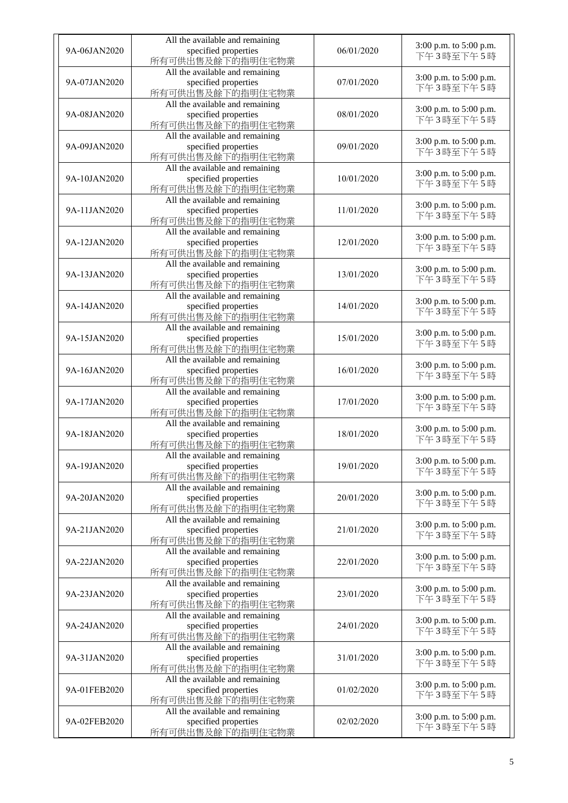| 9A-06JAN2020 | All the available and remaining<br>specified properties<br>所有可供出售及餘下的指明住宅物業 | 06/01/2020 | 3:00 p.m. to 5:00 p.m.<br>下午3時至下午5時 |
|--------------|-----------------------------------------------------------------------------|------------|-------------------------------------|
| 9A-07JAN2020 | All the available and remaining<br>specified properties<br>所有可供出售及餘下的指明住宅物業 | 07/01/2020 | 3:00 p.m. to 5:00 p.m.<br>下午3時至下午5時 |
| 9A-08JAN2020 | All the available and remaining<br>specified properties<br>所有可供出售及餘下的指明住宅物業 | 08/01/2020 | 3:00 p.m. to 5:00 p.m.<br>下午3時至下午5時 |
| 9A-09JAN2020 | All the available and remaining<br>specified properties<br>所有可供出售及餘下的指明住宅物業 | 09/01/2020 | 3:00 p.m. to 5:00 p.m.<br>下午3時至下午5時 |
| 9A-10JAN2020 | All the available and remaining<br>specified properties<br>所有可供出售及餘下的指明住宅物業 | 10/01/2020 | 3:00 p.m. to 5:00 p.m.<br>下午3時至下午5時 |
| 9A-11JAN2020 | All the available and remaining<br>specified properties<br>所有可供出售及餘下的指明住宅物業 | 11/01/2020 | 3:00 p.m. to 5:00 p.m.<br>下午3時至下午5時 |
| 9A-12JAN2020 | All the available and remaining<br>specified properties<br>所有可供出售及餘下的指明住宅物業 | 12/01/2020 | 3:00 p.m. to 5:00 p.m.<br>下午3時至下午5時 |
| 9A-13JAN2020 | All the available and remaining<br>specified properties<br>所有可供出售及餘下的指明住宅物業 | 13/01/2020 | 3:00 p.m. to 5:00 p.m.<br>下午3時至下午5時 |
| 9A-14JAN2020 | All the available and remaining<br>specified properties<br>所有可供出售及餘下的指明住宅物業 | 14/01/2020 | 3:00 p.m. to 5:00 p.m.<br>下午3時至下午5時 |
| 9A-15JAN2020 | All the available and remaining<br>specified properties<br>所有可供出售及餘下的指明住宅物業 | 15/01/2020 | 3:00 p.m. to 5:00 p.m.<br>下午3時至下午5時 |
| 9A-16JAN2020 | All the available and remaining<br>specified properties<br>所有可供出售及餘下的指明住宅物業 | 16/01/2020 | 3:00 p.m. to 5:00 p.m.<br>下午3時至下午5時 |
| 9A-17JAN2020 | All the available and remaining<br>specified properties<br>所有可供出售及餘下的指明住宅物業 | 17/01/2020 | 3:00 p.m. to 5:00 p.m.<br>下午3時至下午5時 |
| 9A-18JAN2020 | All the available and remaining<br>specified properties<br>所有可供出售及餘下的指明住宅物業 | 18/01/2020 | 3:00 p.m. to 5:00 p.m.<br>下午3時至下午5時 |
| 9A-19JAN2020 | All the available and remaining<br>specified properties<br>所有可供出售及餘下的指明住宅物業 | 19/01/2020 | 3:00 p.m. to 5:00 p.m.<br>下午3時至下午5時 |
| 9A-20JAN2020 | All the available and remaining<br>specified properties<br>所有可供出售及餘下的指明住宅物業 | 20/01/2020 | 3:00 p.m. to 5:00 p.m.<br>下午3時至下午5時 |
| 9A-21JAN2020 | All the available and remaining<br>specified properties<br>所有可供出售及餘下的指明住宅物業 | 21/01/2020 | 3:00 p.m. to 5:00 p.m.<br>下午3時至下午5時 |
| 9A-22JAN2020 | All the available and remaining<br>specified properties<br>所有可供出售及餘下的指明住宅物業 | 22/01/2020 | 3:00 p.m. to 5:00 p.m.<br>下午3時至下午5時 |
| 9A-23JAN2020 | All the available and remaining<br>specified properties<br>所有可供出售及餘下的指明住宅物業 | 23/01/2020 | 3:00 p.m. to 5:00 p.m.<br>下午3時至下午5時 |
| 9A-24JAN2020 | All the available and remaining<br>specified properties<br>所有可供出售及餘下的指明住宅物業 | 24/01/2020 | 3:00 p.m. to 5:00 p.m.<br>下午3時至下午5時 |
| 9A-31JAN2020 | All the available and remaining<br>specified properties<br>所有可供出售及餘下的指明住宅物業 | 31/01/2020 | 3:00 p.m. to 5:00 p.m.<br>下午3時至下午5時 |
| 9A-01FEB2020 | All the available and remaining<br>specified properties<br>所有可供出售及餘下的指明住宅物業 | 01/02/2020 | 3:00 p.m. to 5:00 p.m.<br>下午3時至下午5時 |
| 9A-02FEB2020 | All the available and remaining<br>specified properties<br>所有可供出售及餘下的指明住宅物業 | 02/02/2020 | 3:00 p.m. to 5:00 p.m.<br>下午3時至下午5時 |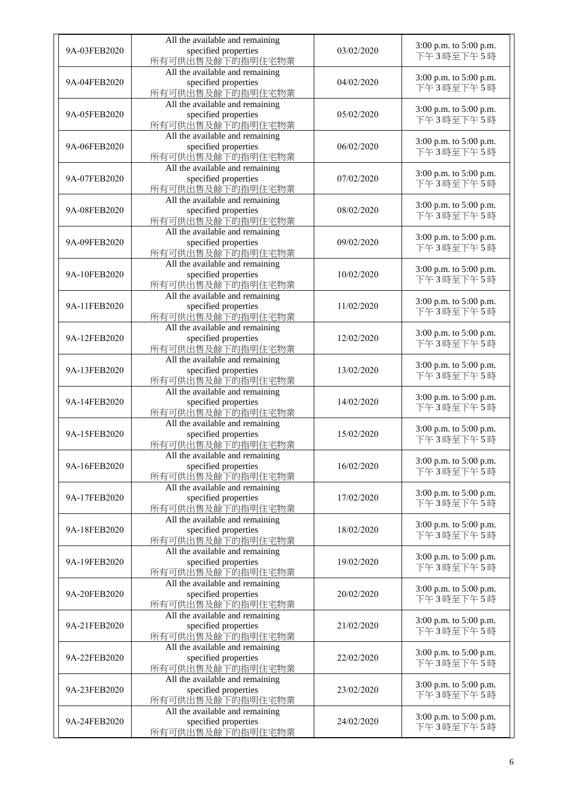| 9A-03FEB2020 | All the available and remaining<br>specified properties<br>所有可供出售及餘下的指明住宅物業 | 03/02/2020 | 3:00 p.m. to 5:00 p.m.<br>下午3時至下午5時 |
|--------------|-----------------------------------------------------------------------------|------------|-------------------------------------|
| 9A-04FEB2020 | All the available and remaining<br>specified properties<br>所有可供出售及餘下的指明住宅物業 | 04/02/2020 | 3:00 p.m. to 5:00 p.m.<br>下午3時至下午5時 |
| 9A-05FEB2020 | All the available and remaining<br>specified properties<br>所有可供出售及餘下的指明住宅物業 | 05/02/2020 | 3:00 p.m. to 5:00 p.m.<br>下午3時至下午5時 |
| 9A-06FEB2020 | All the available and remaining<br>specified properties<br>所有可供出售及餘下的指明住宅物業 | 06/02/2020 | 3:00 p.m. to 5:00 p.m.<br>下午3時至下午5時 |
| 9A-07FEB2020 | All the available and remaining<br>specified properties<br>所有可供出售及餘下的指明住宅物業 | 07/02/2020 | 3:00 p.m. to 5:00 p.m.<br>下午3時至下午5時 |
| 9A-08FEB2020 | All the available and remaining<br>specified properties<br>所有可供出售及餘下的指明住宅物業 | 08/02/2020 | 3:00 p.m. to 5:00 p.m.<br>下午3時至下午5時 |
| 9A-09FEB2020 | All the available and remaining<br>specified properties<br>所有可供出售及餘下的指明住宅物業 | 09/02/2020 | 3:00 p.m. to 5:00 p.m.<br>下午3時至下午5時 |
| 9A-10FEB2020 | All the available and remaining<br>specified properties<br>所有可供出售及餘下的指明住宅物業 | 10/02/2020 | 3:00 p.m. to 5:00 p.m.<br>下午3時至下午5時 |
| 9A-11FEB2020 | All the available and remaining<br>specified properties<br>所有可供出售及餘下的指明住宅物業 | 11/02/2020 | 3:00 p.m. to 5:00 p.m.<br>下午3時至下午5時 |
| 9A-12FEB2020 | All the available and remaining<br>specified properties<br>所有可供出售及餘下的指明住宅物業 | 12/02/2020 | 3:00 p.m. to 5:00 p.m.<br>下午3時至下午5時 |
| 9A-13FEB2020 | All the available and remaining<br>specified properties<br>所有可供出售及餘下的指明住宅物業 | 13/02/2020 | 3:00 p.m. to 5:00 p.m.<br>下午3時至下午5時 |
| 9A-14FEB2020 | All the available and remaining<br>specified properties<br>所有可供出售及餘下的指明住宅物業 | 14/02/2020 | 3:00 p.m. to 5:00 p.m.<br>下午3時至下午5時 |
| 9A-15FEB2020 | All the available and remaining<br>specified properties<br>所有可供出售及餘下的指明住宅物業 | 15/02/2020 | 3:00 p.m. to 5:00 p.m.<br>下午3時至下午5時 |
| 9A-16FEB2020 | All the available and remaining<br>specified properties<br>所有可供出售及餘下的指明住宅物業 | 16/02/2020 | 3:00 p.m. to 5:00 p.m.<br>下午3時至下午5時 |
| 9A-17FEB2020 | All the available and remaining<br>specified properties<br>所有可供出售及餘下的指明住宅物業 | 17/02/2020 | 3:00 p.m. to 5:00 p.m.<br>下午3時至下午5時 |
| 9A-18FEB2020 | All the available and remaining<br>specified properties<br>所有可供出售及餘下的指明住宅物業 | 18/02/2020 | 3:00 p.m. to 5:00 p.m.<br>下午3時至下午5時 |
| 9A-19FEB2020 | All the available and remaining<br>specified properties<br>所有可供出售及餘下的指明住宅物業 | 19/02/2020 | 3:00 p.m. to 5:00 p.m.<br>下午3時至下午5時 |
| 9A-20FEB2020 | All the available and remaining<br>specified properties<br>所有可供出售及餘下的指明住宅物業 | 20/02/2020 | 3:00 p.m. to 5:00 p.m.<br>下午3時至下午5時 |
| 9A-21FEB2020 | All the available and remaining<br>specified properties<br>所有可供出售及餘下的指明住宅物業 | 21/02/2020 | 3:00 p.m. to 5:00 p.m.<br>下午3時至下午5時 |
| 9A-22FEB2020 | All the available and remaining<br>specified properties<br>所有可供出售及餘下的指明住宅物業 | 22/02/2020 | 3:00 p.m. to 5:00 p.m.<br>下午3時至下午5時 |
| 9A-23FEB2020 | All the available and remaining<br>specified properties<br>所有可供出售及餘下的指明住宅物業 | 23/02/2020 | 3:00 p.m. to 5:00 p.m.<br>下午3時至下午5時 |
| 9A-24FEB2020 | All the available and remaining<br>specified properties<br>所有可供出售及餘下的指明住宅物業 | 24/02/2020 | 3:00 p.m. to 5:00 p.m.<br>下午3時至下午5時 |